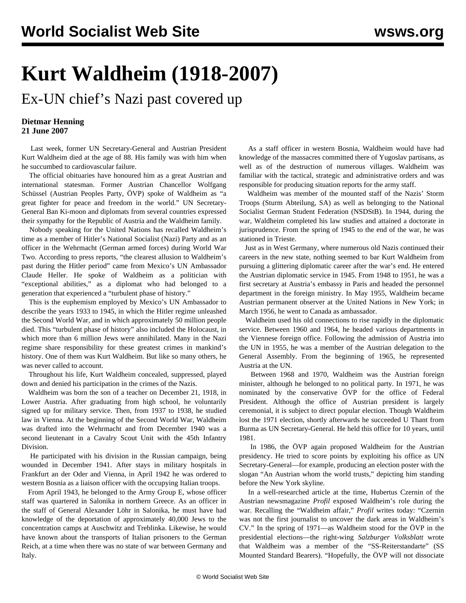## **Kurt Waldheim (1918-2007)**

Ex-UN chief's Nazi past covered up

## **Dietmar Henning 21 June 2007**

 Last week, former UN Secretary-General and Austrian President Kurt Waldheim died at the age of 88. His family was with him when he succumbed to cardiovascular failure.

 The official obituaries have honoured him as a great Austrian and international statesman. Former Austrian Chancellor Wolfgang Schüssel (Austrian Peoples Party, ÖVP) spoke of Waldheim as "a great fighter for peace and freedom in the world." UN Secretary-General Ban Ki-moon and diplomats from several countries expressed their sympathy for the Republic of Austria and the Waldheim family.

 Nobody speaking for the United Nations has recalled Waldheim's time as a member of Hitler's National Socialist (Nazi) Party and as an officer in the Wehrmacht (German armed forces) during World War Two. According to press reports, "the clearest allusion to Waldheim's past during the Hitler period" came from Mexico's UN Ambassador Claude Heller. He spoke of Waldheim as a politician with "exceptional abilities," as a diplomat who had belonged to a generation that experienced a "turbulent phase of history."

 This is the euphemism employed by Mexico's UN Ambassador to describe the years 1933 to 1945, in which the Hitler regime unleashed the Second World War, and in which approximately 50 million people died. This "turbulent phase of history" also included the Holocaust, in which more than 6 million Jews were annihilated. Many in the Nazi regime share responsibility for these greatest crimes in mankind's history. One of them was Kurt Waldheim. But like so many others, he was never called to account.

 Throughout his life, Kurt Waldheim concealed, suppressed, played down and denied his participation in the crimes of the Nazis.

 Waldheim was born the son of a teacher on December 21, 1918, in Lower Austria. After graduating from high school, he voluntarily signed up for military service. Then, from 1937 to 1938, he studied law in Vienna. At the beginning of the Second World War, Waldheim was drafted into the Wehrmacht and from December 1940 was a second lieutenant in a Cavalry Scout Unit with the 45th Infantry Division.

 He participated with his division in the Russian campaign, being wounded in December 1941. After stays in military hospitals in Frankfurt an der Oder and Vienna, in April 1942 he was ordered to western Bosnia as a liaison officer with the occupying Italian troops.

 From April 1943, he belonged to the Army Group E, whose officer staff was quartered in Salonika in northern Greece. As an officer in the staff of General Alexander Löhr in Salonika, he must have had knowledge of the deportation of approximately 40,000 Jews to the concentration camps at Auschwitz and Treblinka. Likewise, he would have known about the transports of Italian prisoners to the German Reich, at a time when there was no state of war between Germany and Italy.

 As a staff officer in western Bosnia, Waldheim would have had knowledge of the massacres committed there of Yugoslav partisans, as well as of the destruction of numerous villages. Waldheim was familiar with the tactical, strategic and administrative orders and was responsible for producing situation reports for the army staff.

 Waldheim was member of the mounted staff of the Nazis' Storm Troops (Sturm Abteilung, SA) as well as belonging to the National Socialist German Student Federation (NSDStB). In 1944, during the war, Waldheim completed his law studies and attained a doctorate in jurisprudence. From the spring of 1945 to the end of the war, he was stationed in Trieste.

 Just as in West Germany, where numerous old Nazis continued their careers in the new state, nothing seemed to bar Kurt Waldheim from pursuing a glittering diplomatic career after the war's end. He entered the Austrian diplomatic service in 1945. From 1948 to 1951, he was a first secretary at Austria's embassy in Paris and headed the personnel department in the foreign ministry. In May 1955, Waldheim became Austrian permanent observer at the United Nations in New York; in March 1956, he went to Canada as ambassador.

 Waldheim used his old connections to rise rapidly in the diplomatic service. Between 1960 and 1964, he headed various departments in the Viennese foreign office. Following the admission of Austria into the UN in 1955, he was a member of the Austrian delegation to the General Assembly. From the beginning of 1965, he represented Austria at the UN.

 Between 1968 and 1970, Waldheim was the Austrian foreign minister, although he belonged to no political party. In 1971, he was nominated by the conservative ÖVP for the office of Federal President. Although the office of Austrian president is largely ceremonial, it is subject to direct popular election. Though Waldheim lost the 1971 election, shortly afterwards he succeeded U Thant from Burma as UN Secretary-General. He held this office for 10 years, until 1981.

 In 1986, the ÖVP again proposed Waldheim for the Austrian presidency. He tried to score points by exploiting his office as UN Secretary-General—for example, producing an election poster with the slogan "An Austrian whom the world trusts," depicting him standing before the New York skyline.

 In a well-researched article at the time, Hubertus Czernin of the Austrian newsmagazine *Profil* exposed Waldheim's role during the war. Recalling the "Waldheim affair," *Profil* writes today: "Czernin was not the first journalist to uncover the dark areas in Waldheim's CV." In the spring of 1971—as Waldheim stood for the ÖVP in the presidential elections—the right-wing *Salzburger Volksblatt* wrote that Waldheim was a member of the "SS-Reiterstandarte" (SS Mounted Standard Bearers). "Hopefully, the ÖVP will not dissociate